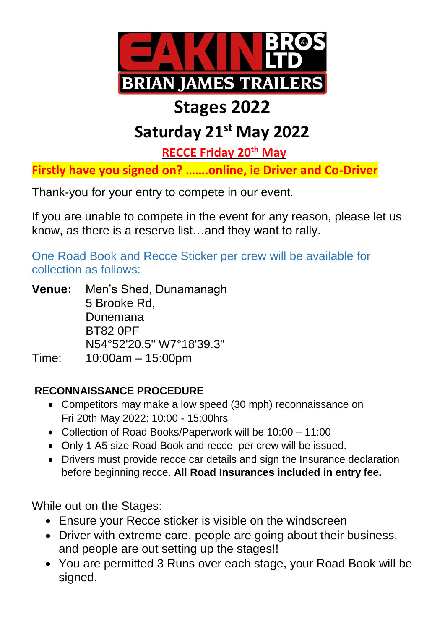

## **Stages 2022**

## **Saturday 21st May 2022**

**RECCE Friday 20th May**

**Firstly have you signed on? …….online, ie Driver and Co-Driver**

Thank-you for your entry to compete in our event.

If you are unable to compete in the event for any reason, please let us know, as there is a reserve list…and they want to rally.

One Road Book and Recce Sticker per crew will be available for collection as follows:

**Venue:** Men's Shed, Dunamanagh 5 Brooke Rd, Donemana BT82 0PF N54°52'20.5" W7°18'39.3" Time: 10:00am – 15:00pm

## **RECONNAISSANCE PROCEDURE**

- Competitors may make a low speed (30 mph) reconnaissance on Fri 20th May 2022: 10:00 - 15:00hrs
- Collection of Road Books/Paperwork will be 10:00 11:00
- Only 1 A5 size Road Book and recce per crew will be issued.
- Drivers must provide recce car details and sign the Insurance declaration before beginning recce. **All Road Insurances included in entry fee.**

While out on the Stages:

- Ensure your Recce sticker is visible on the windscreen
- Driver with extreme care, people are going about their business, and people are out setting up the stages!!
- You are permitted 3 Runs over each stage, your Road Book will be signed.